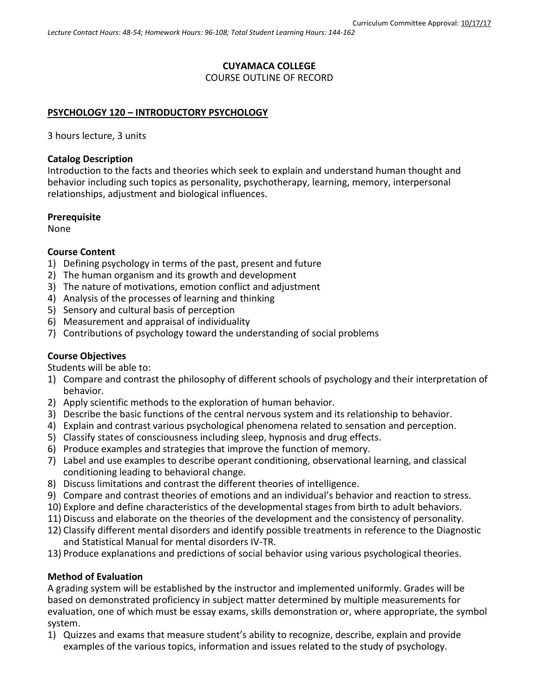## **CUYAMACA COLLEGE**

#### COURSE OUTLINE OF RECORD

### **PSYCHOLOGY 120 – INTRODUCTORY PSYCHOLOGY**

3 hours lecture, 3 units

#### **Catalog Description**

Introduction to the facts and theories which seek to explain and understand human thought and behavior including such topics as personality, psychotherapy, learning, memory, interpersonal relationships, adjustment and biological influences.

#### **Prerequisite**

None

### **Course Content**

- 1) Defining psychology in terms of the past, present and future
- 2) The human organism and its growth and development
- 3) The nature of motivations, emotion conflict and adjustment
- 4) Analysis of the processes of learning and thinking
- 5) Sensory and cultural basis of perception
- 6) Measurement and appraisal of individuality
- 7) Contributions of psychology toward the understanding of social problems

### **Course Objectives**

Students will be able to:

- 1) Compare and contrast the philosophy of different schools of psychology and their interpretation of behavior.
- 2) Apply scientific methods to the exploration of human behavior.
- 3) Describe the basic functions of the central nervous system and its relationship to behavior.
- 4) Explain and contrast various psychological phenomena related to sensation and perception.
- 5) Classify states of consciousness including sleep, hypnosis and drug effects.
- 6) Produce examples and strategies that improve the function of memory.
- 7) Label and use examples to describe operant conditioning, observational learning, and classical conditioning leading to behavioral change.
- 8) Discuss limitations and contrast the different theories of intelligence.
- 9) Compare and contrast theories of emotions and an individual's behavior and reaction to stress.
- 10) Explore and define characteristics of the developmental stages from birth to adult behaviors.
- 11) Discuss and elaborate on the theories of the development and the consistency of personality.
- 12) Classify different mental disorders and identify possible treatments in reference to the Diagnostic and Statistical Manual for mental disorders IV-TR.
- 13) Produce explanations and predictions of social behavior using various psychological theories.

### **Method of Evaluation**

A grading system will be established by the instructor and implemented uniformly. Grades will be based on demonstrated proficiency in subject matter determined by multiple measurements for evaluation, one of which must be essay exams, skills demonstration or, where appropriate, the symbol system.

1) Quizzes and exams that measure student's ability to recognize, describe, explain and provide examples of the various topics, information and issues related to the study of psychology.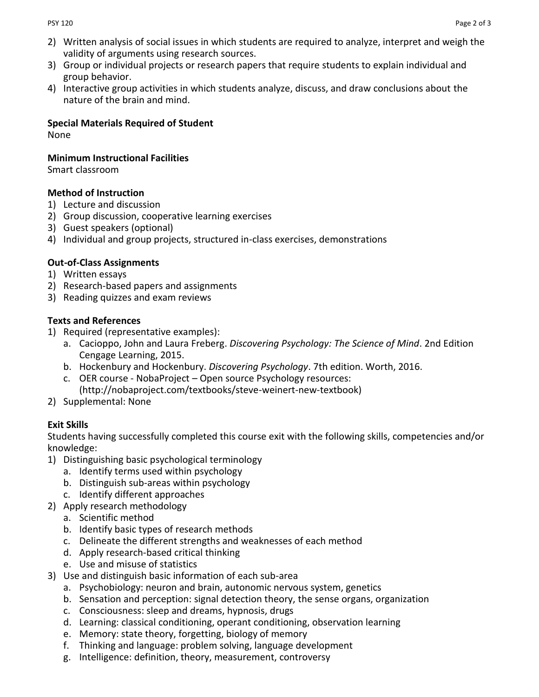- 2) Written analysis of social issues in which students are required to analyze, interpret and weigh the validity of arguments using research sources.
- 3) Group or individual projects or research papers that require students to explain individual and group behavior.
- 4) Interactive group activities in which students analyze, discuss, and draw conclusions about the nature of the brain and mind.

# **Special Materials Required of Student**

None

### **Minimum Instructional Facilities**

Smart classroom

## **Method of Instruction**

- 1) Lecture and discussion
- 2) Group discussion, cooperative learning exercises
- 3) Guest speakers (optional)
- 4) Individual and group projects, structured in-class exercises, demonstrations

## **Out-of-Class Assignments**

- 1) Written essays
- 2) Research-based papers and assignments
- 3) Reading quizzes and exam reviews

### **Texts and References**

- 1) Required (representative examples):
	- a. Cacioppo, John and Laura Freberg. *Discovering Psychology: The Science of Mind*. 2nd Edition Cengage Learning, 2015.
	- b. Hockenbury and Hockenbury. *Discovering Psychology*. 7th edition. Worth, 2016.
	- c. OER course NobaProject Open source Psychology resources: [\(http://nobaproject.com/textbooks/steve-weinert-new-textbook\)](http://nobaproject.com/textbooks/steve-weinert-new-textbook)
- 2) Supplemental: None

## **Exit Skills**

Students having successfully completed this course exit with the following skills, competencies and/or knowledge:

- 1) Distinguishing basic psychological terminology
	- a. Identify terms used within psychology
	- b. Distinguish sub-areas within psychology
	- c. Identify different approaches
- 2) Apply research methodology
	- a. Scientific method
	- b. Identify basic types of research methods
	- c. Delineate the different strengths and weaknesses of each method
	- d. Apply research-based critical thinking
	- e. Use and misuse of statistics
- 3) Use and distinguish basic information of each sub-area
	- a. Psychobiology: neuron and brain, autonomic nervous system, genetics
	- b. Sensation and perception: signal detection theory, the sense organs, organization
	- c. Consciousness: sleep and dreams, hypnosis, drugs
	- d. Learning: classical conditioning, operant conditioning, observation learning
	- e. Memory: state theory, forgetting, biology of memory
	- f. Thinking and language: problem solving, language development
	- g. Intelligence: definition, theory, measurement, controversy